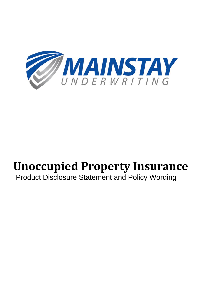

# **Unoccupied Property Insurance**

## Product Disclosure Statement and Policy Wording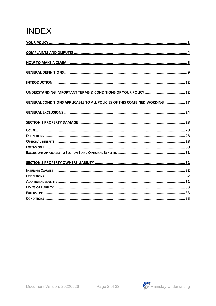# **INDEX**

| UNDERSTANDING IMPORTANT TERMS & CONDITIONS OF YOUR POLICY  12              |
|----------------------------------------------------------------------------|
| GENERAL CONDITIONS APPLICABLE TO ALL POLICIES OF THIS COMBINED WORDING  17 |
|                                                                            |
|                                                                            |
|                                                                            |
|                                                                            |
|                                                                            |
|                                                                            |
|                                                                            |
|                                                                            |
|                                                                            |
|                                                                            |
|                                                                            |
|                                                                            |
|                                                                            |
|                                                                            |

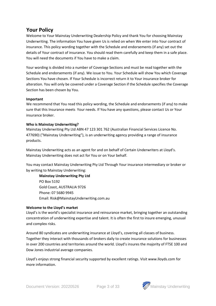## **Your Policy**

Welcome to Your Mainstay Underwriting Dealership Policy and thank You for choosing Mainstay Underwriting. The information You have given Us is relied on when We enter into Your contract of insurance. This policy wording together with the Schedule and endorsements (if any) set out the details of Your contract of insurance. You should read them carefully and keep them in a safe place. You will need the documents if You have to make a claim.

Your wording is divided into a number of Coverage Sections and must be read together with the Schedule and endorsements (if any). We issue to You. Your Schedule will show You which Coverage Sections You have chosen. If Your Schedule is incorrect return it to Your insurance broker for alteration. You will only be covered under a Coverage Section if the Schedule specifies the Coverage Section has been chosen by You.

#### **Important**

We recommend that You read this policy wording, the Schedule and endorsements (if any) to make sure that this Insurance meets Your needs. If You have any questions, please contact Us or Your insurance broker.

#### **Who is Mainstay Underwriting?**

Mainstay Underwriting Pty Ltd ABN 47 123 301 762 (Australian Financial Services Licence No. 477690) ("Mainstay Underwriting"), is an underwriting agency providing a range of insurance products.

Mainstay Underwriting acts as an agent for and on behalf of Certain Underwriters at Lloyd's. Mainstay Underwriting does not act for You or on Your behalf.

You may contact Mainstay Underwriting Pty Ltd Through Your insurance intermediary or broker or by writing to Mainstay Underwriting:

**Mainstay Underwriting Pty Ltd**  PO Box 5192 Gold Coast, AUSTRALIA 9726 Phone: 07 5680 9945 Email: [Risk@MainstayUnderwriting.com.au](mailto:Risk@MainstayUnderwriting.com.au)

#### **Welcome to the Lloyd's market**

Lloyd's is the world's specialist insurance and reinsurance market, bringing together an outstanding concentration of underwriting expertise and talent. It is often the first to insure emerging, unusual and complex risks.

Around 80 syndicates are underwriting insurance at Lloyd's, covering all classes of business. Together they interact with thousands of brokers daily to create insurance solutions for businesses in over 200 countries and territories around the world. Lloyd's insures the majority of FTSE 100 and Dow Jones industrial average companies.

Lloyd's enjoys strong financial security supported by excellent ratings. Visit www.lloyds.com for more information.

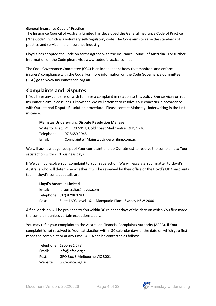#### **General Insurance Code of Practice**

The Insurance Council of Australia Limited has developed the General Insurance Code of Practice ("the Code"), which is a voluntary self-regulatory code. The Code aims to raise the standards of practice and service in the insurance industry.

Lloyd's has adopted the Code on terms agreed with the Insurance Council of Australia. For further information on the Code please visit www.codeofpractice.com.au.

The Code Governance Committee (CGC) is an independent body that monitors and enforces insurers' compliance with the Code. For more information on the Code Governance Committee (CGC) go to www.insurancecode.org.au

## **Complaints and Disputes**

If You have any concerns or wish to make a complaint in relation to this policy, Our services or Your insurance claim, please let Us know and We will attempt to resolve Your concerns in accordance with Our Internal Dispute Resolution procedure. Please contact Mainstay Underwriting in the first instance:

#### **Mainstay Underwriting Dispute Resolution Manager**

|            | Write to Us at: PO BOX 5192, Gold Coast Mail Centre, QLD, 9726 |
|------------|----------------------------------------------------------------|
| Telephone: | 07 5680 9945                                                   |
| Email:     | Complaints@MainstayUnderwriting.com.au                         |

We will acknowledge receipt of Your complaint and do Our utmost to resolve the complaint to Your satisfaction within 10 business days.

If We cannot resolve Your complaint to Your satisfaction, We will escalate Your matter to Lloyd's Australia who will determine whether it will be reviewed by their office or the Lloyd's UK Complaints team. Lloyd's contact details are:

#### **Lloyd's Australia Limited**

Email: [idraustralia@lloyds.com](mailto:idraustralia@lloyds.com) Telephone: (02) 8298 0783 Post: Suite 1603 Level 16, 1 Macquarie Place, Sydney NSW 2000

A final decision will be provided to You within 30 calendar days of the date on which You first made the complaint unless certain exceptions apply.

You may refer your complaint to the Australian Financial Complaints Authority (AFCA), if Your complaint is not resolved to Your satisfaction within 30 calendar days of the date on which you first made the complaint or at any time. AFCA can be contacted as follows:

Telephone: 1800 931 678 Email: [info@afca.org.au](mailto:info@afca.org.au) Post: GPO Box 3 Melbourne VIC 3001 Website: www.afca.org.au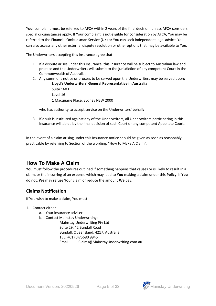Your complaint must be referred to AFCA within 2 years of the final decision, unless AFCA considers special circumstances apply. If Your complaint is not eligible for consideration by AFCA, You may be referred to the Financial Ombudsman Service (UK) or You can seek independent legal advice. You can also access any other external dispute resolution or other options that may be available to You.

The Underwriters accepting this Insurance agree that:

- 1. If a dispute arises under this Insurance, this Insurance will be subject to Australian law and practice and the Underwriters will submit to the jurisdiction of any competent Court in the Commonwealth of Australia;
- 2. Any summons notice or process to be served upon the Underwriters may be served upon: **Lloyd's Underwriters' General Representative in Australia** Suite 1603 Level 16 1 Macquarie Place, Sydney NSW 2000

who has authority to accept service on the Underwriters' behalf;

3. If a suit is instituted against any of the Underwriters, all Underwriters participating in this Insurance will abide by the final decision of such Court or any competent Appellate Court.

In the event of a claim arising under this Insurance notice should be given as soon as reasonably practicable by referring to Section of the wording, "How to Make A Claim".

## **How To Make A Claim**

You must follow the procedures outlined if something happens that causes or is likely to result in a claim, or the incurring of an expense which may lead to **You** making a claim under this **Policy**. If **You** do not, **We** may refuse **Your** claim or reduce the amount **We** pay.

## **Claims Notification**

If You wish to make a claim, You must:

- 1. Contact either
	- a. Your insurance adviser
	- b. Contact Mainstay Underwriting:

Mainstay Underwriting Pty Ltd Suite 29, 42 Bundall Road Bundall, Queensland, 4217, Australia TEL: +61 (0)75680 9945 Email: [Claims@MainstayUnderwriting.com.au](mailto:Claims@MainstayUnderwriting.com.au)

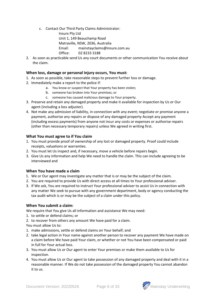c. Contact Our Third Party Claims Administrator:

Insurx Pty Ltd Unit 1, 149 Beauchamp Road Matraville, NSW, 2036, Australia Email: mainstayclaims@insurx.com.au Office: 02 8233 3188

2. As soon as practicable send Us any court documents or other communication You receive about the claim.

#### **When loss, damage or personal injury occurs, You must:**

- 1. As soon as possible, take reasonable steps to prevent further loss or damage.
- 2. Immediately make a report to the police if:
	- a. You know or suspect that Your property has been stolen;
		- b. someone has broken into Your premises; or
		- c. someone has caused malicious damage to Your property.
- 3. Preserve and retain any damaged property and make it available for inspection by Us or Our agent (including a loss adjuster).
- 4. Not make any admission of liability, in connection with any event; negotiate or promise anyone a payment, authorise any repairs or dispose of any damaged property Accept any payment (including excess payments) from anyone not incur any costs or expenses or authorise repairs (other than necessary temporary repairs) unless We agreed in writing first.

#### **What You must agree to if You claim**

- 1. You must provide proof of ownership of any lost or damaged property. Proof could include receipts, valuations or warranties.
- 2. You must let Us inspect and, if necessary, move a vehicle before repairs begin.
- 3. Give Us any information and help We need to handle the claim. This can include agreeing to be interviewed and

### **When You have made a claim**

- 1. We or Our agent may investigate any matter that is or may be the subject of the claim.
- 2. You are required to provide Us with direct access at all times to Your professional adviser.
- 3. If We ask, You are required to instruct Your professional adviser to assist Us in connection with any matter We seek to pursue with any government department, body or agency conducting the tax audit which is or may be the subject of a claim under this policy.

#### **When You submit a claim:**

We require that You give Us all information and assistance We may need:

- 1. to settle or defend claims; or
- 2. to recover from others any amount We have paid for a claim.

You must allow Us to:

- 1. make admissions, settle or defend claims on Your behalf; and
- 2. take legal action in Your name against another person to recover any payment We have made on a claim before We have paid Your claim, or whether or not You have been compensated or paid in full for Your actual loss.
- 3. You must allow Us or Our agent to enter Your premises or make them available to Us for inspection.
- 4. You must allow Us or Our agent to take possession of any damaged property and deal with it in a reasonable manner. If We do not take possession of the damaged property You cannot abandon it to us.

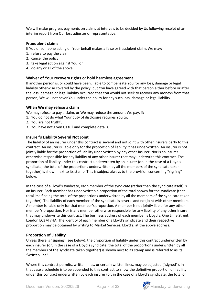We will make progress payments on claims at intervals to be decided by Us following receipt of an interim report from Our loss adjuster or representative.

#### **Fraudulent claims**

If You or someone acting on Your behalf makes a false or fraudulent claim, We may:

- 1. refuse to pay the claim;
- 2. cancel the policy;
- 3. take legal action against You; or
- 4. do any or all of the above.

#### **Waiver of Your recovery rights or hold harmless agreement**

If another person is, or could have been, liable to compensate You for any loss, damage or legal liability otherwise covered by the policy, but You have agreed with that person either before or after the loss, damage or legal liability occurred that You would not seek to recover any moneys from that person, We will not cover You under the policy for any such loss, damage or legal liability.

#### **When We may refuse a claim**

We may refuse to pay a claim, or We may reduce the amount We pay, if:

- 1. You do not do what Your duty of disclosure requires You to;
- 2. You are not truthful;
- 3. You have not given Us full and complete details.

#### **Insurer's Liability Several Not Joint**

The liability of an insurer under this contract is several and not joint with other insurers party to this contract. An insurer is liable only for the proportion of liability it has underwritten. An insurer is not jointly liable for the proportion of liability underwritten by any other insurer. Nor is an insurer otherwise responsible for any liability of any other insurer that may underwrite this contract. The proportion of liability under this contract underwritten by an insurer (or, in the case of a Lloyd's syndicate, the total of the proportions underwritten by all the members of the syndicate taken together) is shown next to its stamp. This is subject always to the provision concerning "signing" below.

In the case of a Lloyd's syndicate, each member of the syndicate (rather than the syndicate itself) is an insurer. Each member has underwritten a proportion of the total shown for the syndicate (that total itself being the total of the proportions underwritten by all the members of the syndicate taken together). The liability of each member of the syndicate is several and not joint with other members. A member is liable only for that member's proportion. A member is not jointly liable for any other member's proportion. Nor is any member otherwise responsible for any liability of any other insurer that may underwrite this contract. The business address of each member is Lloyd's, One Lime Street, London EC3M 7HA. The identity of each member of a Lloyd's syndicate and their respective proportion may be obtained by writing to Market Services, Lloyd's, at the above address.

#### **Proportion of Liability**

Unless there is "signing" (see below), the proportion of liability under this contract underwritten by each insurer (or, in the case of a Lloyd's syndicate, the total of the proportions underwritten by all the members of the syndicate taken together) is shown next to its stamp and is referred to as its "written line".

Where this contract permits, written lines, or certain written lines, may be adjusted ("signed"). In that case a schedule is to be appended to this contract to show the definitive proportion of liability under this contract underwritten by each insurer (or, in the case of a Lloyd's syndicate, the total of

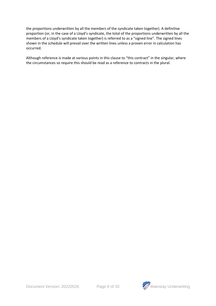the proportions underwritten by all the members of the syndicate taken together). A definitive proportion (or, in the case of a Lloyd's syndicate, the total of the proportions underwritten by all the members of a Lloyd's syndicate taken together) is referred to as a "signed line". The signed lines shown in the schedule will prevail over the written lines unless a proven error in calculation has occurred.

Although reference is made at various points in this clause to "this contract" in the singular, where the circumstances so require this should be read as a reference to contracts in the plural.

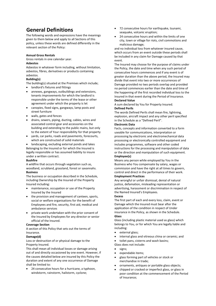## **General Definitions**

The following words and expressions have the meanings given to them below and apply to all Sections of this policy, unless these words are defined differently in the relevant section of the Policy:

#### **Annual Gross Rentals**

Gross rentals in one calendar year. **Asbestos**

Asbestos in whatever form including, without limitation, asbestos, fibres, derivatives or products containing asbestos.

#### **Building(s)**

The building(s) situated at the Premises which include;

- landlord's fixtures and fittings
- annexes, gangways, outbuildings and extensions, tenants improvements for which the landlord is responsible under the terms of the lease or other agreement under which the property is let
- canopies, fixed signs, gangways, lamp posts and street furniture
- walls, gates and fences
- drains, sewers, piping, ducting, cables, wires and associated control gear and accessories on the building and extending to the public mains, but only to the extent of Your responsibility for that property
- yards, car parks, roads and pavements, forecourts, which are constructed of solid materials

landscaping, excluding external ponds and lakes Belonging to the Insured or for which the Insured is legally responsible or has assumed liability to insure under a written contract.

#### **Bushfire**

A wildfire that occurs through vegetation such as, woodland, scrubland, grassland, forest or savannahs. **Business**

The business or occupation described in the Schedule, including Ownership by the Insured of the Property Insured including:

- maintenance, occupation or use of the Property Insured by the Insured
- the provision and management of canteen, sports, social or welfare organisations for the benefit of Employees and fire, security, first aid, medical and ambulance services
- private work undertaken with the prior consent of the Insured by Employees for any director or senior official of the Insured.

#### **Coverage Section**

A section of this Policy that sets out the terms of Insurance.

#### **Damage(d)**

Loss or destruction of or physical damage to the Property Insured.

This shall mean all individual losses or damage arising out of and directly occasioned by one event. However, if the causes detailed below are insured by this Policy the duration and extent of any one occurrence of Damage shall be limited to:

24 consecutive hours for a hurricane, a typhoon, windstorm, rainstorm, hailstorm, cyclone;

- 72 consecutive hours for earthquake, tsunami, seaquake, volcanic eruption;
- 24 consecutive hours and within the limits of one city, town or village for riots, civil commotions and malicious damage;

and no individual loss from whatever insured cause, which occurs from an event outside these periods shall be included in any claim for Damage caused by that event.

The Insured may choose for the purpose of claims under the Policy, the date and time when any such period of consecutive hours commences and if any event is of greater duration than the above period, the Insured may divide that event into two or more occurrences of Damage provided no two periods overlap and provided no period commences earlier than the date and time of the happening of the first recorded individual loss to the Insured in that event during the Period of Insurance. **Declared Value**

A sum declared by You for Property Insured. **Defined Perils**

The words Defined Perils shall mean fire, lightning, explosion, aircraft impact and any other peril specified in the Schedule as a "Defined Peril".

#### **Electronic Data**

Facts, concepts and information converted to a form useable for communications, interpretation or processing by electronic and electromechanical data processing or electronically controlled equipment and includes programmes, software and other coded instructions for the processing and manipulation of data or the direction and manipulation of such equipment. **Employee(s)**

Means any person while employed by You in the Business who You compensate by salary, wages or commission and have the right at all times to govern, control and direct in the performance of their work.

#### **Employment Practices**

Any wrongful or unfair dismissal, denial of natural justice, defamation, misleading representation or advertising, harassment or discrimination in respect of the Named Insured's Employees.

**Excess**

The first part of each and every loss, claim, event or Damage which the Insured must bear after the application of the condition in respect of Under insurance in the Policy, as shown in the Schedule. **Glass**

Glass (including plastic material used as glass) which belongs to You, or for which You are legally liable and including:

- external glass;
- internal glass and vitreous china or ceramic; and

• toilet pans, cisterns and wash basins; Glass does not include:

- signs;
- expendable items;
- glass forming part of vehicles or stock or merchandise in trade;
- ornaments, antiques or portable glass objects;
- chipped or cracked or imperfect glass, or glass in poor condition at the commencement of the Period of Insurance;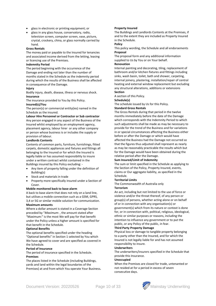- glass in electronic or printing equipment; or
- glass in any glass house, conservatory, radio, television screen, computer screen, vase, picture, crystal, crockery, china, or glass normally carried by hand.

#### **Gross Rentals**

The money paid or payable to the Insured for tenancies and associated income derived from the letting, leasing or licencing use of the Premises.

#### **Indemnity Period**

The period beginning with the occurrence of the Damage and ending not later than the number of months stated in the Schedule as the indemnity period during which the results of the Business shall be affected in consequence of the Damage.

#### **Injury**

Bodily injury, death, disease, illness or nervous shock. **Insurance**

The insurance provided to You by this Policy.

#### **Insured(s)/You**

The person(s) or commercial entity(ies) named in the Schedule as the insured.

#### **Labour Hire Personnel or Contractor or Sub contractor**

Any person engaged in any aspect of the Business of the Insured whilst employed by an employment agency, placement agency, labour hirer or any other company or person whose business is or includes the supply or provision of labour.

#### **Landlords Contents**

Contents of common parts, furniture, furnishings, fitted carpets, domestic appliances and fixtures and fittings all belonging to the Insured or for which the Insured is legally liable or has assumed responsibility to insure under a written contract whilst contained in the Buildings insured by this Policy excluding: -

- Any item of property falling under the definition of Building(s)
- Stock and materials in trade
- Property more specifically insured under a Section of Cover.

#### **Mobile monitored back to base alarm**

A back to base alarm that does not rely on a land line, but utilises a mobile connection such as a GSM, GPRS, 3,4 or 5G or similar mobile solution for communication. **Maximum amounts** 

Where a dollar amount is stated in a Coverage Section preceded by "*Maximum*: , the amount stated after "Maximum:" is the most We will pay for that benefit under the Policy unless a higher amount is specified for that benefit in the Schedule.

#### **Optional Benefits**

The optional benefits specified under the heading "Optional benefits" in Section 1 selected by You which We have agreed to cover and are specified as covered in the Schedule.

#### **Period of Insurance**

The period of insurance specified in the Schedule. **Premises** 

The places listed in the Schedule (including Buildings, yards and land within the legal boundaries of the Premises) at and from which You operate Your Business**.** 

#### **Property Insured**

The Buildings and Landlords Contents at the Premises, if and to the extent they are included as Property Insured in the Schedule.

#### **Policy**

This policy wording, the Schedule and all endorsements **Proposal**

The proposal form and any additional information supplied to Us by You or on Your behalf.

#### **Renovation**

Internal painting and decorating, tiling, replacement of bathroom and/or kitchen fixtures and fittings including sinks, wash basin, toilet, bath and shower, carpeting, internal joinery, plastering, installation/repair of central heating and external window replacement but excluding any structural alterations, additions or extensions **Section**

A section of this Policy.

#### **Schedule(s)**

The schedule issued by Us for this Policy.

#### **Standard Gross Rentals**

The Gross Rentals during that period in the twelve months immediately before the date of the Damage which corresponds with the Indemnity Period to which such adjustments shall be made as may be necessary to provide for the trend of the Business and for variations in or special circumstances affecting the Business either before or after the Damage or which would have affected the Business had the Damage not occurred so that the figures thus adjusted shall represent as nearly as may be reasonably practicable the results which but for the Damage would have been obtained during the relative period after the Damage.

#### **Sum Insured/Limit of Indemnity**

The sum or limit specified in the Schedule as applying to the Section of the Policy, Property Insured, events, claims or Our aggregate liability, as specified in the Schedule.

#### **Territorial Limits**

The Commonwealth of Australia only

#### **Terrorism**

An act, including but not limited to the use of force or violence and/or the threat thereof, of any person or group(s) of persons, whether acting alone or on behalf of or in connection with any organisation(s) or government(s) which from its nature or context is done for, or in connection with, political, religious, ideological, ethnic or similar purposes or reasons, including the intention to influence any government or to put the public, or any Policy of the public, in fear.

#### **Third Party Property Damage**

Physical loss or damage to tangible property belonging to a party other than the Insured, and for which the Insured is not legally liable for and has not assumed responsibility to insure.

#### **Underwriters**

The underwriters/insurers specified in the Schedule that provide this Insurance.

#### **Unoccupied**

When the Premises are closed for trade, untenanted or not resided at for a period in excess of seven consecutive days.

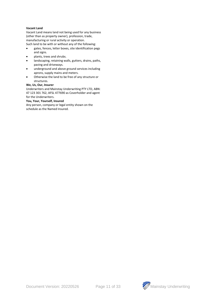#### **Vacant Land**

Vacant Land means land not being used for any business (other than as property owner), profession, trade, manufacturing or rural activity or operation.

Such land to be with or without any of the following: • gates, fences, letter boxes, site identification pegs

- and signs.
- plants, trees and shrubs.
- landscaping, retaining walls, gutters, drains, paths, paving and driveways.
- underground and above ground services including aprons, supply mains and meters.
- Otherwise the land to be free of any structure or structures.

#### **We, Us, Our, Insurer**

Underwriters and Mainstay Underwriting PTY LTD, ABN: 47 123 301 762, AFSL 477690 as Coverholder and agent for the Underwriters.

#### **You, Your, Yourself, Insured**

Any person, company or legal entity shown on the schedule as the Named Insured.



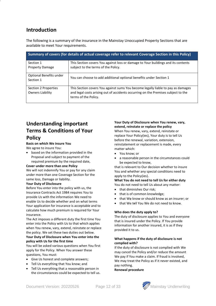## **Introduction**

The following is a summary of the insurance in the Mainstay Unoccupied Property Sections that are available to meet Your requirements.

| Summary of covers (for details of actual coverage refer to relevant Coverage Section in this Policy) |                                                                                                                                                                                               |  |  |
|------------------------------------------------------------------------------------------------------|-----------------------------------------------------------------------------------------------------------------------------------------------------------------------------------------------|--|--|
| Section 1<br><b>Property Damage</b>                                                                  | This Section covers You against loss or damage to Your buildings and its contents<br>subject to the terms of the Policy.                                                                      |  |  |
| Optional Benefits under<br>Section 1                                                                 | You can choose to add additional optional benefits under Section 1                                                                                                                            |  |  |
| Section 2 Properties<br>Owners Liability                                                             | This Section covers You against sums You become legally liable to pay as damages<br>and legal costs arising out of accidents occurring on the Premises subject to the<br>terms of the Policy. |  |  |

## **Understanding important Terms & Conditions of Your Policy**

#### **Basis on which We insure You**

We agree to insure You:

• based on the information provided in the Proposal and subject to payment of the required premium by the required date,

#### **Cover under more than one Policy**

We will not indemnify You or pay for any claim under more than one Coverage Section for the same loss, Damage or liability.

#### **Your Duty of Disclosure**

Before You enter into the policy with us, the Insurance Contracts Act 1984 requires You to provide Us with the information We need to enable Us to decide whether and on what terms Your application for insurance is acceptable and to calculate how much premium is required for Your insurance.

The Act imposes a different duty the first time You enter into the Policy with Us to that which applies when You renew, vary, extend, reinstate or replace the policy. We set these two duties out below.

#### **Your Duty of Disclosure when You enter into the policy with Us for the first time**

You will be asked various questions when You first apply for the Policy. When You answer these questions, You must:

- Give Us honest and complete answers;
- Tell Us everything that You know; and
- Tell Us everything that a reasonable person in the circumstances could be expected to tell us.

#### **Your Duty of Disclosure when You renew, vary, extend, reinstate or replace the policy**

When You renew, vary, extend, reinstate or replace Your Policy(ies), Your duty is to tell Us before the renewal, variation, extension, reinstatement or replacement is made, every matter which:

- You know; or
- a reasonable person in the circumstances could be expected to know,

that is relevant to Our decision whether to insure You and whether any special conditions need to apply to the Policy(ies).

**What You do not need to tell Us for either duty** You do not need to tell Us about any matter:

- that diminishes Our risk;
- that is of common knowledge:
- that We know or should know as an insurer; or
- that We tell You We do not need to know.

#### **Who does the duty apply to?**

The duty of disclosure applies to You and everyone that is insured under the Policy. If You provide information for another insured, it is as if they provided it to us.

#### **What happens if the duty of disclosure is not complied with?**

If the duty of disclosure is not complied with We may cancel the Policy and/or reduce the amount We pay if You make a claim. If fraud is involved, We may treat the Policy as if it never existed, and pay nothing.

**Renewal procedure**

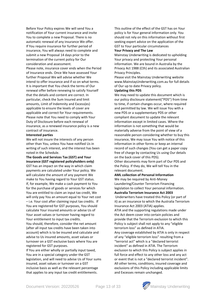Before Your Policy expires We will send You a notification of Your current insurance and invite You to complete a new Proposal. There is no automatic renewal of any insurance We offer. If You require insurance for further period of insurance, You will always need to complete and submit a new Proposal 14 days prior to the termination of the current policy for Our consideration and assessment. Please note, insurance cover ends when the Period of Insurance ends. Once We have assessed Your further Proposal We will advise whether We intend to offer insurance and if so on what terms. It is important that You check the terms of Our renewal offer before renewing to satisfy Yourself that the details and content are correct. In particular, check the Sum Insured and limit amounts, Limit of Indemnity and Excess(es) applicable to ensure the levels of cover are applicable and correct for Your requirements. Please note that You need to comply with Your Duty of Disclosure before each renewal of insurance, as a renewed insurance policy is a new

contract of insurance. **Interested parties**

We will not insure the interests of any person other than You, unless You have notified Us in writing of such interest, and the interest has been noted in the Schedule.

**The Goods and Services Tax (GST) and Your insurance (GST registered policyholders only)** GST has an impact on the way in which claim payments are calculated under Your policy. We will calculate the amount of any payment We make to You having regard to Your GST status. If, for example, We make a cash payment to You for the purchase of goods or services for which You are entitled to claim an input tax credit, We will only pay You an amount equal to Your net cost – i.e. Your cost after claiming input tax credits. If You are registered for GST purposes, You should calculate Your insured amounts or advise Us of Your asset values or turnover having regard to Your entitlement to input tax credits.

You should, therefore, consider the net amount (after all input tax credits have been taken into account) which is to be insured and calculate and advise to Us insured amounts, asset values or turnover on a GST exclusive basis where You are registered for GST purposes.

If You are either wholly or partially input taxed, You are in a special category under the GST legislation, and will need to advise Us of Your sums insured, asset values or turnover on a GST inclusive basis as well as the relevant percentage that applies to any input tax credit entitlements.

This outline of the effect of the GST has on Your policy is for Your general information only. You should not rely on this information without first seeking expert advice on the application of the GST to Your particular circumstances **Your Privacy and The Law** 

Mainstay Underwriting is dedicated to upholding Your privacy and protecting Your personal information. We are bound in Australia by the Privacy Act 1988 (Cth) and its associated Australian Privacy Principles.

Please visit the Mainstay Underwriting website [www.MainstayUnderwriting.com.au](http://www.mainstayunderwriting.com.au/) for full details of Our up to date Privacy policy.

#### **Updating this PDS**

We may need to update this document which is our policy disclosure statement("PDS") from time to time, if certain changes occur, where required and permitted by law. We will issue You with a new PDS or a supplementary PDS or other compliant document to update the relevant information except in limited cases. Where the information is not something that would be materially adverse from the point of view of a reasonable person considering whether to buy this insurance, We may issue You with notice of this information in other forms or keep an internal record of such changes (You can get a paper copy free of charge by contacting Us using Our details on the back cover of this PDS).

Other documents may form part of Our PDS and the Policy. If they do, We will tell You in the relevant document.

#### **AML collection of Personal Information**

We may be required by Anti-Money Laundering/Counter Terrorism Financing legislation to collect Your personal information. **Australia Terrorism Insurance Act 2003**

Underwriters have treated this Policy (or part of it) as an insurance to which the Australia Terrorism Insurance Act 2003 (ATIA) applies.

ATIA and the supporting regulations made under the Act deem cover into certain policies and provide that the Terrorism exclusion to which this Policy is subject shall not apply to any "eligible terrorism loss" as defined in ATIA.

Any coverage established by ATIA is only in respect of any "eligible terrorism loss" resulting from a "terrorist act" which is a "declared terrorist incident" as defined in ATIA. The Terrorism exclusion to which this Policy is subject applies in full force and effect to any other loss and any act or event that is not a "declared terrorist incident". All other terms, conditions, insured coverage and exclusions of this Policy including applicable limits and Excesses remain unchanged.

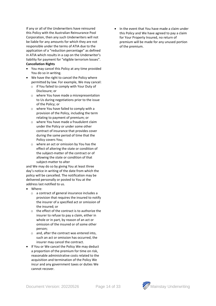If any or all of the Underwriters have reinsured this Policy with the Australian Reinsurance Pool Corporation, then any such Underwriters will not be liable for any amounts for which they are not responsible under the terms of ATIA due to the application of a "reduction percentage" as defined in ATIA which results in a cap on the Underwriter's liability for payment for "eligible terrorism losses". **Cancellation Rights**

- You may cancel this Policy at any time provided You do so in writing.
- We have the right to cancel the Policy where permitted by law. For example, We may cancel:
	- o if You failed to comply with Your Duty of Disclosure; or
	- o where You have made a misrepresentation to Us during negotiations prior to the issue of the Policy; or
	- o where You have failed to comply with a provision of the Policy, including the term relating to payment of premium; or
	- o where You have made a fraudulent claim under the Policy or under some other contract of insurance that provides cover during the same period of time that the Policy covers You;
	- o where an act or omission by You has the effect of altering the state or condition of the subject-matter of the contract or of allowing the state or condition of that subject-matter to alter

and We may do so by giving You at least three day's notice in writing of the date from which the policy will be cancelled. The notification may be delivered personally or posted to You at the address last notified to us.

- Where:
	- o a contract of general insurance includes a provision that requires the insured to notify the insurer of a specified act or omission of the insured; or
	- o the effect of the contract is to authorize the insurer to refuse to pay a claim, either in whole or in part, by reason of an act or omission of the insured or of some other person;
	- o and, after the contract was entered into, such an act or omission has occurred, the insurer may cancel the contract.
- If You or We cancel the Policy We may deduct a proportion of the premium for time on risk, reasonable administrative costs related to the acquisition and termination of the Policy We incur and any government taxes or duties We cannot recover.

• In the event that You have made a claim under this Policy and We have agreed to pay a claim for Your Property Insured, no return of premium will be made for any unused portion of the premium.

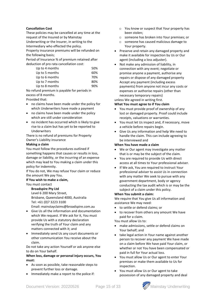#### **Cancellation Cost**

These policies may be cancelled at any time at the request of the Insured or by Mainstay Underwriting or the Insurer, in writing to the

Intermediary who effected the policy.

Property insurance premiums will be refunded on the following basis;

Period of Insurance % of premium retained after deduction of pro rata cancellation cost:

| Up to 4 months | 50% |
|----------------|-----|
| Up to 5 months | 60% |
| Up to 6 months | 70% |
| Up to 7 months | 80% |
| Up to 8 months | 90% |

No refund premium is payable for periods in excess of 8 months.

Provided that:

- no claims have been made under the policy for which Underwriters have made a payment
- no claims have been made under the policy which are still under consideration
- no incident has occurred which is likely to give rise to a claim but has yet to be reported to Underwriters

There is no refund of premiums for Property Owner's Liability insurance

#### **Making a claim**

You must follow the procedures outlined if something happens that causes or results in loss, damage or liability, or the incurring of an expense which may lead to You making a claim under this policy for indemnity.

If You do not, We may refuse Your claim or reduce the amount We pay You.

#### **If You wish to make a claim,**

You must contact

**Broadspire Pty Ltd** Level 6 200 Mary Street, Brisbane, Queensland 4000, Australia Tel: +61 (0)7 3223 3100 Email[: mainstayclaims@broadspire.com.au](mailto:mainstayclaims@broadspire.com.au)

- Give Us all the information and documentation which We request. If We ask for it, You must provide Us with a statutory declaration verifying the truth of Your claim and any matters connected with it; and
- Immediately send Us any court documents or other communication You receive about the claim.

Do not take any action Yourself or ask anyone else to do on Your behalf.

#### **When loss, damage or personal injury occurs, You must:**

- As soon as possible, take reasonable steps to prevent further loss or damage.
- Immediately make a report to the police if:
- o You know or suspect that Your property has been stolen;
- o someone has broken into Your premises; or
- o someone has caused malicious damage to Your property.
- Preserve and retain any damaged property and make it available for inspection by Us or Our agent (including a loss adjuster).
- Not make any admission of liability, in connection with any event; negotiate or promise anyone a payment, authorise any repairs or dispose of any damaged property Accept any payment (including excess payments) from anyone not incur any costs or expenses or authorise repairs (other than necessary temporary repairs)

unless We agreed in writing first.

#### **What You must agree to if You claim**

- You must provide proof of ownership of any lost or damaged property. Proof could include receipts, valuations or warranties.
- You must let Us inspect and, if necessary, move a vehicle before repairs begin.
- Give Us any information and help We need to handle the claim. This can include agreeing to be interviewed and

#### **When You have made a claim**

- We or Our agent may investigate any matter that is or may be the subject of the claim.
- You are required to provide Us with direct access at all times to Your professional adviser.
- If We ask, You are required to instruct Your professional adviser to assist Us in connection with any matter We seek to pursue with any government department, body or agency conducting the tax audit which is or may be the subject of a claim under this policy.

#### **When You submit a claim:**

We require that You give Us all information and assistance We may need:

- to settle or defend claims; or
- to recover from others any amount We have paid for a claim.

You must allow Us to:

- make admissions, settle or defend claims on Your behalf; and
- take legal action in Your name against another person to recover any payment We have made on a claim before We have paid Your claim, or whether or not You have been compensated or paid in full for Your actual loss.
- You must allow Us or Our agent to enter Your premises or make them available to Us for inspection.
- You must allow Us or Our agent to take possession of any damaged property and deal

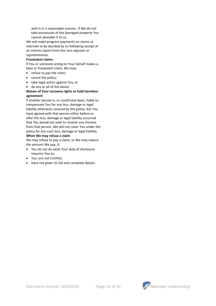with it in a reasonable manner. If We do not take possession of the damaged property You cannot abandon it to us.

We will make progress payments on claims at intervals to be decided by Us following receipt of an interim report from Our loss adjuster or representative.

#### **Fraudulent claims**

If You or someone acting on Your behalf makes a false or fraudulent claim, We may:

- refuse to pay the claim;
- cancel the policy;
- take legal action against You; or
- do any or all of the above.

#### **Waiver of Your recovery rights or hold harmless agreement**

If another person is, or could have been, liable to compensate You for any loss, damage or legal liability otherwise covered by the policy, but You have agreed with that person either before or after the loss, damage or legal liability occurred that You would not seek to recover any moneys from that person, We will not cover You under the policy for any such loss, damage or legal liability.

#### **When We may refuse a claim**

We may refuse to pay a claim, or We may reduce the amount We pay, if:

- You do not do what Your duty of disclosure requires You to;
- You: are not truthful;
- have not given Us full and complete details.



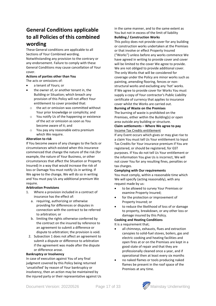## **General Conditions applicable to all Policies of this combined wording**

These General conditions are applicable to all Sections of Your Combined wording. Notwithstanding any provision to the contrary or any endorsement. Failure to comply with these General Conditions may cause cancellation of Your cover.

#### **Actions of parties other than You**

- The acts or omissions of:
- a tenant of Yours; or
- the owner of, or another tenant in, the Building or Situation; which breach any provision of this Policy will not affect Your entitlement to cover provided that:
	- o the act or omission was committed without Your prior knowledge or complicity; and
	- o You notify Us of the happening or existence of the act or omission as soon as You become aware of it; and
	- o You pay any reasonable extra premium which We require.

#### **Alteration to risk**

If You become aware of any changes to the facts or circumstances which existed when this insurance commenced that change the nature of the risk (for example, the nature of Your Business, or other circumstances that affect the Situation or Property Insured) in a way that would increase the risk of loss or Damage You must notify Us in writing. If We agree to the change, We will do so in writing and You must pay Us any additional premium We require.

#### **Arbitration Provisions**

- 1. Where a provision included in a contract of insurance has the effect of:
	- a. requiring, authorizing or otherwise providing for differences or disputes in connection with the contract to be referred to arbitration; or
	- b. limiting the rights otherwise conferred by the contract on the insured by reference to an agreement to submit a difference or dispute to arbitration; the provision is void.
	- 2. [Subsection](http://www5.austlii.edu.au/au/legis/cth/consol_act/ica1984220/s11c.html#subsection) 1 does not affect an agreement to submit a dispute or difference to arbitration if the agreement was made after the dispute or difference arose.

#### **Bankruptcy or Insolvency**

In case of execution against You of any final judgment covered by this Policy being returned 'unsatisfied' by reason of Your bankruptcy or insolvency, then an action may be maintained by the injured party or their representative against Us in the same manner, and to the same extent as You but not in excess of the limit of liability **Building / Construction Works**

This policy does not provide cover for any building or construction works undertaken at the Premises or that involve or effect Property Insured ("Works") unless before any works commence We have agreed in writing to provide cover and cover will be limited to the cover We agree to provide. We are not obliged to provide additional cover. The only Works that will be considered for coverage under the Policy are minor works such as painting, amending flooring, fences or nonstructural works and excluding any 'hot' works. If We agree to provide cover for Works You must supply a copy of Your contractor's Public Liability certificate of currency that applies to insurance cover whilst the Works are carried out.

#### **Burning of Waste on the Premises**

The burning of waste is prohibited on the Premises, either within the Building(s) or open area outside any building or structure.

#### **Claim settlements – Where We agree to pay** Income Tax Credits entitlement

If any Event occurs which gives or may give rise to a claim You must tell Us Your entitlement to Input Tax Credits for Your insurance premium if You are registered, or should be registered, for GST purposes. If You do not tell Us Your entitlement or the information You give Us is incorrect, We will not cover You for any resulting fines, penalties or tax charges.

#### **Complying with Our requirements**

You must comply, within a reasonable time which We will specify (acting reasonably), with any request made by us:

- to be allowed to survey Your Premises or examine Property Insured;
- for the protection or improvement of Property Insured; or
- to reduce the likelihood of loss of or damage to property, breakdown, or any other loss or damage insured by this Policy.

#### **Cooking and Heating Conditions**

It is a requirement that;

- all chimneys, exhausts, flues and extraction canopies to solid-fuel stoves, boilers, gas and electric cooking and heating facilities and open fires at or on the Premises are kept in a good state of repair and that they are professionally cleaned once a year, and if operational then at least every six months
- no naked flames or tools producing naked flames be present in the roof space of the Premises at any time.

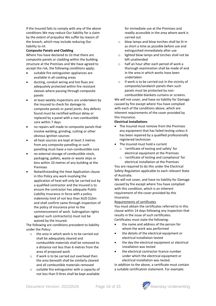If the Insured fails to comply with any of the above conditions We may reduce Our liability for a claim by the extent of prejudice We suffer by reason of the breach, which may include reducing Our liability to nil.

#### **Composite Panels and Cladding**

Where You have declared to Us that there are composite panels or cladding within the building structure at the Premises and We have agreed to accept the risk, the following conditions apply;

- suitable fire extinguisher appliances are available in all cooking areas
- ducting, conduit wiring and hot flues are adequately protected within fire resistant sleeves where passing through composite panels
- at least weekly inspections are undertaken by the Insured to check for damage to composite panels or panel joints. Any defects found must be rectified without delay or replaced by a panel with a non-combustible core within 7 days
- no repairs will made to composite panels that involve welding, grinding, cutting or other obvious ignition sources
- all heat sources are kept at least 2 metres from any composite panelling or such panelling must have a non-combustible core
- no external storage of combustible stock, packaging, pallets, waste or waste skips or bins within 10 metres of any building at the Premises
- Notwithstanding the Heat Application clause in this Policy any work involving the application of heat will only be carried out by a qualified contractor and the Insured is to ensure the contractor has adequate Public Liability Insurance in force with a policy indemnity limit of not less than AUD \$10m and shall confirm same through inspection of the policy of insurance prior to the commencement of work. Subrogation rights against such contractor(s) must not be waived by the Insured.

The following are conditions precedent to liability under the Policy:

- o the area in which work is to be carried out shall be adequately cleared and combustible materials shall be removed to a distance not less than 6 metres from the area of proposed work
- o if work is to be carried out overhead then the area beneath shall be similarly cleared and all combustible materials removed
- o suitable fire extinguisher with a capacity of not less than 9 litres shall be kept available

for immediate use at the Premises and readily accessible in the area where work is carried out

- o blow lamps and blow torches shall be lit in as short a time as possible before use and extinguished immediately after use
- o lighted blow lamps and torches shall not be left unattended
- o half an hour after each period of work a thorough examination shall be made of and in the area in which works have been undertaken
- o if work is to be carried out in the vicinity of composite/sandwich panels then such panels must be protected by noncombustible blankets curtains or screens.

We will not cover, and have no liability for Damage caused by fire except where You have complied with each of the conditions above, which are inherent requirements of the cover provided by this Insurance.

#### **Electrical Installations**

- The Insured must remove from the Premises any equipment that has failed testing unless it has been repaired by a qualified professionally registered technician
- The Insured must hold a current
	- o 'certificate of testing and safety' for electrical equipment at the Premises
	- o 'certificate of testing and compliance' for electrical installation at the Premises

You are required to do this under the Electrical Safety Regulation applicable to each relevant State of Australia.

We will not cover, and have no liability for Damage caused by fire except where You have complied with this condition, which is an inherent requirement of the cover provided by this Insurance.

#### Requirements of certificates

You must obtain the certificates referred to in this clause within 14 days following any inspection that results in the issue of such certificates. Certificates must state the following:

- the name and address of the person for whom the work was performed
- the details of the electrical equipment or electrical installation tested
- the day the electrical equipment or electrical installation was tested
- the electrical contractor licence number under which the electrical equipment or electrical installation was tested.

In addition to the above, a certificate must contain a suitable certification statement. For example:

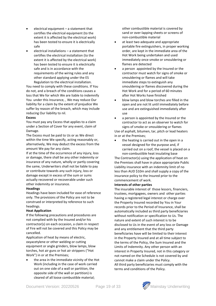- $e$  electrical equipment  $-$  a statement that certifies the electrical equipment (to the extent it is affected by the electrical work) has been tested to ensure it is electrically safe
- electrical installations a statement that certifies the electrical installation (to the extent it is affected by the electrical work) has been tested to ensure it is electrically safe and is in accordance with the requirements of the wiring rules and any other standard applying under the ES Regulation to the electrical installation.

You need to comply with these conditions. If You do not, and a breach of the conditions causes a loss that We for which We are liable to indemnify You under this Insurance, , We may reduce Our liability for a claim by the extent of prejudice We suffer by reason of the breach, which may include reducing Our liability to nil.

#### **Excess**

You must pay any Excess that applies to a claim under a Section of Cover for any event, claim of Damage.

The Excess must be paid to Us or as We direct within the time We specify, acting reasonably or, alternatively, We may deduct the excess from the amount We pay for any claim.

If at the time of the occurrence of any injury, loss or damage, there shall be any other indemnity or insurance of any nature, wholly or partly covering the same, Underwriters shall not be liable to pay or contribute towards any such injury, loss or damage except in excess of the sum or sums actually recovered or recoverable under such other indemnity or insurance.

#### **Headings**

Headings have been included for ease of reference only. The provisions of the Policy are not to be construed or interpreted by reference to such headings.

#### **Heat Application**

If the following precautions and procedures are not complied with by the Insured and/or his contractor(s) on each occasion, a claim in respect of Fire will not be covered and this Policy may be cancelled.

Application of heat by means of electric, oxyacetylene or other welding or cutting equipment or angle grinders, blow lamps, blow torches, hot air guns or hot air strippers ("Hot Work") in or at the Premises;

the area in the immediate vicinity of the Hot Work (including in the case of work carried out on one side of a wall or partition, the opposite side of the wall or partition) is cleared of all loose combustible material;

other combustible material is covered by sand or over-lapping sheets or screens of non-combustible material

- at least two adequate and appropriate portable fire extinguishers, in proper working order, are kept in the immediate area of the Hot Work being undertaken and used immediately once smoke or smouldering or flames are detected
- a person appointed by the Insured or the contractor must watch for signs of smoke or smouldering or flames and will take immediate steps to extinguish any smouldering or flames discovered during the Hot Work and for a period of 60 minutes after Hot Works have finished
- blow lamps and blow torches are filled in the open and are not lit until immediately before use and are extinguished immediately after use
- a person is appointed by the Insured or the contractor to act as an observer to watch for signs of smoke or smouldering or flames Use of asphalt, bitumen, tar, pitch or lead heaters

in or at the Premises; the heating is carried out in the open in a

vessel designed for the purpose and, if carried out on a roof, the vessel is placed on a non-combustible heat insulating base

The Contractor(s) using the application of heat on the Premises shall have in place appropriate Public Liability insurance with an indemnity limit of no less than AUD \$10m and shall supply a copy of the insurance policy to the Insured prior to the commencement of work.

#### **Interests of other parties**

The insurable interest of those lessors, financiers, trustees, mortgagees, owners and other parties having a registered legal interest or charge over the Property Insured recorded by You in Your records prior to the Period of Insurance, shall be automatically included as third party beneficiaries without notification or specification to Us. The nature and extent of such interest is to be disclosed to Us in the event of any loss or Damage and any entitlement that the third party beneficiaries have will be limited to their interest in the Property Insured and at all time subject to the terms of the Policy, the Sum Insured and the Limits of Indemnity. Any other person with an interest in Property Insured, not in this category or not named on the Schedule is not covered by and cannot make a claim under the Policy. All third party beneficiaries must comply with the terms and conditions of the Policy.

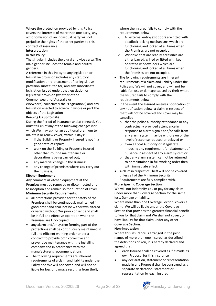Where the protection provided by this Policy covers the interests of more than one party, any act or omission of an individual party will not prejudice the rights of the other parties to this contract of insurance.

#### **Interpretation**

#### In this Policy:

The singular includes the plural and vice versa. The male gender includes the female and neutral genders.

A reference in this Policy to any legislation or legislative provision includes any statutory modification or re-enactment of, or legislative provision substituted for, and any subordinate legislation issued under, that legislation or legislative provision (whether of the Commonwealth of Australia or

elsewhere)(collectively the "Legislation") and any legislation enacted to govern in whole or part the objects of the Legislation .

#### **Keeping Us up to date**

During the Period of Insurance and at renewal, You must tell Us of any of the following changes (for which We may ask for an additional premium to maintain or renew cover) within 7 days:

- if the Building or Property Insured is not in a good state of repair;
- work on the Building or Property Insured other than routine maintenance or decoration is being carried out;
- any material change in the Business;
- any change of premises where You carry out the Business;

#### **Kitchen Equipment**

Any commercial kitchen equipment at the Premises must be removed or disconnected prior to inception and remain so for duration of cover **Minimum Security Requirements:**

- all protections provided for the safety of the Premises shall be continuously maintained in good order and shall not be withdrawn altered or varied without Our prior consent and shall be in full and effective operation when the Premises are Unoccupied
- any alarm and/or system forming part of the protections shall be continuously maintained in full and efficient working order under a contract to provide both corrective and preventive maintenance with the installing company and in accordance with the manufacturer's recommendations
- The following requirements are inherent requirements of a claim and liability under the Policy and We will not cover, and will not be liable for loss or damage resulting from theft,

where the Insured fails to comply with the requirements below:

- o All external entry/exit doors are fitted with deadlock locking mechanisms which are functioning and locked at all times when the Premises are not occupied.
- o Windows that are readily accessible are either barred, grilled or fitted with key operated window locks which are functioning and locked at all times when the Premises are not occupied.
- The following requirements are inherent requirements of a claim and liability under the Policy and We will not cover, and will not be liable for loss or damage caused by theft where the Insured fails to comply with the requirements below.
- In the event the Insured receives notification of any notification below, a claim in respect of theft will not be covered and cover may be cancelled;
	- $\circ$  that the police authority attendance or any contractually provided attendance in response to alarm signals and/or calls from any alarm system may be withdrawn or the level of response reduced or delayed or
	- o from a Local Authority or Magistrate imposing any requirement for abatement of nuisance in respect of any alarm system or
	- o that any alarm system cannot be returned to or maintained in full working order then with immediate effect.
- A claim in respect of Theft will not be covered unless all of the Minimum Security Requirements are fully complied with.

#### **More Specific Coverage Section**

We will not indemnify You or pay for any claim under more than Coverage Section for the same loss, Damage or liability.

Where more than one Coverage Section covers a claim, We will be liable under the Coverage Section that provides the greatest financial benefit to You for that claim and We shall not cover , or have liability for that claim under any other Coverage Section.

#### **Non-imputation**

Where this insurance is arranged in the joint names of more than one insured, as described in the definitions of You, it is hereby declared and agreed that:

- each Insured shall be covered as if it made its own Proposal for this Insurance
- any declaration, statement or representation made in any Proposal shall be construed as a separate declaration, statement or representation by each Insured

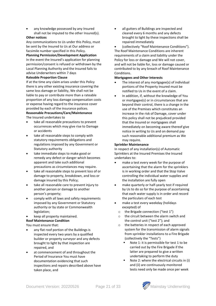• any knowledge possessed by any Insured shall not be imputed to the other Insured(s).

#### **Other notices**

Any communications to Us under this Policy, must be sent by the Insured to Us at Our address or facsimile number specified in this Policy.

#### **Planning Permission/Development Application**

In the event the Insured's application for planning permission/consent is refused or withdrawn by the Local Planning Authority and the Insured fails to advise Underwriters within 7 days

#### **Rateable Proportion Clause**

If at the time any claim arises under this Policy there is any other existing insurance covering the same loss damage or liability, We shall not be liable to pay or contribute more than a rateable proportion of any loss damage compensation costs or expense having regard to the insurance cover provided by each of the insurance polices.

#### **Reasonable Precautions/Care/Maintenance** The Insured undertakes to

- take all reasonable precautions to prevent occurrences which may give rise to Damage or accidents
- take all reasonable steps to comply with statutory requirements obligations and regulations imposed by any Government or Statutory authority
- take immediate steps to make good or remedy any defect or danger which becomes apparent and take such additional precautions as circumstances may require.
- take all reasonable steps to prevent loss of or damage to property, breakdown, and loss or damage insured by this Policy;
- take all reasonable care to prevent injury to another person or damage to another person's property;
- comply with all laws and safety requirements imposed by any Government or Statutory authority or by state or Commonwealth legislation;
- keep all property maintained.

**Roof Maintenance Condition**

You must ensure that:

- any flat roof portion of the Buildings is inspected every two years by a qualified builder or property surveyor and any defects brought to light by that inspection are repaired, and
- at commencement of and throughout the Period of Insurance You must have documentation evidencing that such inspections and repairs described above have taken place, and

• all gutters of Buildings are inspected and cleared every 6 months and any defects brought to light by these inspections shall be repaired immediately

• (collectively "Roof Maintenance Conditions"). The Roof Maintenance Conditions are inherent requirements of a claim and liability under the Policy for loss or damage and We will not cover, and will not be liable for, loss or damage caused or contributed to by any breach of Roof Maintenance Conditions.

#### **Mortgagees and Other Interests**

- The interest of any mortgagee(s) of individual portions of the Property Insured must be notified to Us in the event of a claim.
- In addition, if, without the knowledge of You or mortgagee(s) or in circumstances that are beyond their control, there is a change in the use of the Premises which constitutes an increase in the risk of Damage, cover under this policy shall not be prejudiced provided that the Insured or mortgagees shall immediately on becoming aware thereof give notice in writing to Us and on demand pay such reasonable additional premium as We may require.

#### **Sprinkler Maintenance**

In respect of any installation(s) of Automatic Sprinklers at the Insured Premises the Insured undertakes to:

- make a test every week for the purpose of ascertaining that the alarm for the sprinklers is in working order and that the Stop Valve controlling the individual water supplies and the installation are fully open
- make quarterly or half-yearly test if required by Us to do so for the purpose of ascertaining that each water supply is in order and record the particulars of each test
- make a test every weekday (holidays excepted) of
	- o the Brigade connection ("test 1")
	- o the circuit between the alarm switch and the control unit ("test 2"); and
	- o the batteries in respect of each approved system for the transmission of alarm signals from sprinkler installations to a Fire Brigade (collectively the "Tests")
		- Note 1: it is permissible for test 1 to be carried out by the Fire Brigade if the latter are prepared to give a written undertaking to perform the duty
		- Note 2: where the electrical circuits in (i) and (ii) are continuously monitored tests need only be made once per week

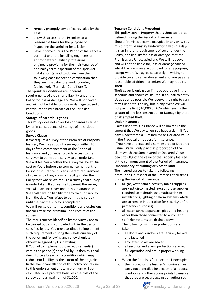- remedy promptly any defect revealed by the Tests
- allow Us access to the Premises at all reasonable times for the purpose of inspecting the sprinkler installation
- have in force during the Period of Insurance a contract with the installing engineers or appropriately qualified professional engineers providing for the maintenance of and half-yearly inspection of the sprinkler installations(s) and to obtain from them following each inspection certification that they are in satisfactory working order; (collectively "Sprinkler Conditions").

The Sprinkler Conditions are inherent requirements of a claim and liability under the Policy for loss or damage and We will not cover, and will not be liable for, loss or damage caused or contributed to by a breach of the Sprinkler Conditions.

#### **Storage of hazardous goods**

This Policy does not cover loss or damage caused by, or in consequence of storage of hazardous goods.

#### **Survey Clause**

If We require a survey of the Premises or Property Insured, We may appoint a surveyor within 30 days of the commencement of the Period of Insurance and you must provide access to that surveyor to permit the survey to be undertaken. We will tell You whether the survey will be at Our cost or Yours before the commencement of the Period of Insurance. It is an inherent requirement of cover and of any claim or liability under the Policy that where We require a survey that survey is undertaken. If you refuse to permit the survey You will have no cover under this Insurance and We shall have no liability for any claim or liability from the date You refuse to permit the survey until the day the survey is completed. We will revise our terms, conditions and exclusions

and/or revise the premium upon receipt of the survey.

The requirements identified by the Survey are to be carried out and completed within the period specified by Us. You must continue to implement such requirements during the whole currency of the policy and following any renewal unless otherwise agreed by Us in writing.

If You fail to implement those requirement(s) within the period(s) specified by Us then this shall deem to be a breach of a condition which may reduce our liability by the extent of the prejudice. In the event cancellation of this policy occurs due to this endorsement a return premium will be calculated on a pro-rata basis less the cost of the survey up to a maximum of \$1,000.

#### **Tenancy Conditions Precedent**

This policy covers Property that is Unoccupied, as defined, during the Period of Insurance. Should Premises become occupied in any way, You must inform Mainstay Underwriting within 7 days. It is an inherent requirement of cover under the Policy, and liability for loss or damage that the Premises are Unoccupied and We will not cover, and will not be liable for, loss or damage caused whilst the premises are occupied for any purpose, except where We agree separately in writing to provide cover by an endorsement and You pay any reasonable additional premium We may require. **Theft**

Theft cover is only given if made operative in the schedule and shown as insured. If You fail to notify Us as soon as possible We reserve the right to vary terms under this policy, but in any event We will not pay the first \$10,000 or 20% whichever is the greater of any loss destruction or Damage by theft or attempted theft.

#### **Under insurance**

Claims under this insurance will be limited in the amount that We pay when You have a claim if You have understated a Sum Insured or Declared Value in the Proposal or request for insurance. If You have understated a Sum Insured or Declared Value, We will only pay that proportion of the claim which the Sum Insured or Declared Value bears to 80% of the value of the Property Insured at the commencement of the Period of Insurance. **Unoccupancy of building or Vacant Land** 

### The Insured agrees to take the following

precautions in respect of the Premises at all times during the Period of Insurance:

- all gas, water and electricity mains supplies are kept disconnected (except those supplies required to maintain automatic sprinkler installations, lighting or alarm systems which are to remain in operation for security or fire protection purposes)
- all water tanks, apparatus, pipes and heating other than those connected to automatic sprinkler systems are drained down
- The following minimum protections are taken:
	- o all doors and windows are securely locked and fastened
	- o any letter boxes are sealed
	- all security and alarm protections are set in full operation and are in proper working order
- When the Premises first become Unoccupied
	- o the Insured or the Insured's nominee must carry out a detailed inspection of all doors, windows and other access points to ensure that they are secure against unauthorised

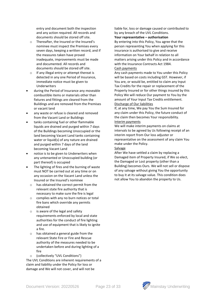entry and document both the inspection and any action required. All records and documents should be stored off site.

- o Thereafter, the Insured or the Insured's nominee must inspect the Premises every seven days, keeping a written record, and if the measures taken have proved inadequate, improvements must be made and documented. All records and documents should be stored off site.
- o If any illegal entry or attempt thereat is detected in any one Period of Insurance, immediate notice must be given to Underwriters
- during the Period of Insurance any moveable combustible items or materials other than fixtures and fittings are cleared from the Buildings and are removed from the Premises or vacant land
- any waste or refuse is cleared and removed from the Vacant Land or Buildings
- tanks containing fuel or other flammable liquids are drained and purged within 7 days of the Buildings becoming Unoccupied or the land becoming Vacant Land tanks containing water or liquid(s) of any nature are drained and purged within 7 days of the land becoming Vacant Land
- notice is to be given to Underwriters when any untenanted or Unoccupied building (or part thereof) is occupied
- The lighting of fires and the burning of waste must NOT be carried out at any time or on any occasion on the Vacant Land unless the Insured or the Insured's nominee
	- o has obtained the correct permit from the relevant state fire authority that is necessary to make sure the fire is legal
	- o complies with any no burn notices or total fire bans which override any permits obtained
	- o is aware of the legal and safety requirements enforced by local and state authorities for the conduct of fire lighting and use of equipment that is likely to ignite a fire.
	- o has obtained a general guide from the relevant State Fire or Fire and Rescue authority of the measures needed to be undertaken before and during lighting of a fire
		- (collectively "UVL Conditions")

The UVL Conditions are inherent requirements of a claim and liability under the Policy for loss or damage and We will not cover, and will not be

liable for, loss or damage caused or contributed to by any breach of the UVL Conditions.

#### **Your representative – authorisation**

By entering into this Policy, You agree that the person representing You when applying for this insurance is authorised to give and receive information on Your behalf in relation to all matters arising under this Policy and in accordance with the Insurance Contracts Act 1984.

#### Cash payments

Any cash payments made to You under this Policy will be based on costs including GST. However, if You are, or would be, entitled to claim any Input Tax Credits for the repair or replacement of the Property Insured or for other things insured by this Policy We will reduce Our payment to You by the amount of Your Input Tax Credits entitlement. Discharge of Our liabilities

If, at any time, We pay You the Sum Insured for any claim under this Policy, the future conduct of the claim then becomes Your responsibility. Interim payments

We will make interim payments on claims at intervals to be agreed by Us following receipt of an interim report from Our loss adjuster or representative on the assessment of any claim You make under the Policy.

#### **Salvage**

After We have settled a claim by replacing a Damaged item of Property Insured, if We so elect, the Damaged or Lost property (other than a Building) becomes Ours. We will not sell or dispose of any salvage without giving You the opportunity to buy it at its salvage value. This condition does not allow You to abandon the property to Us.

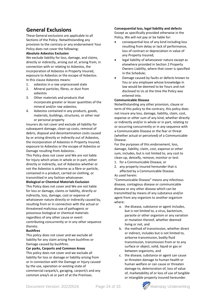## **General Exclusions**

These General exclusions are applicable to all Sections of the Policy. Notwithstanding any provision to the contrary or any endorsement Your Policy does not cover the following:

#### **Absolute Asbestos Exclusion**

We exclude liability for loss, damage, and claims, directly or indirectly, arising out of, arising from, in connection with or relating to Asbestos, the incorporation of Asbestos in Property Insured, exposure to Asbestos or the escape of Asbestos. In this clause Asbestos means:

- 1. asbestos in a raw unprocessed state
- 2. Mineral particles, fibres, or dust from asbestos
- 3. Other materials and products that incorporate greater or lesser quantities of the mineral and/or raw asbestos,
- 4. Asbestos contained in any products, goods, materials, buildings, structures, or other real or personal property

Insurers do not cover and exclude all liability for subsequent damage, clean-up costs, removal of debris, disposal and decontamination costs caused by or arising directly or indirectly out of Asbestos, the incorporation of Asbestos in Property Insured, exposure to Asbestos or the escape of Asbestos or Damage resulting from Asbestos..

This Policy does not cover and We are not liable for Injury which arises in whole or in part, either directly or indirectly, out of Asbestos whether or not the Asbestos is airborne as a fibre or particle, contained in a product, carried on clothing, or transmitted in any fashion whatsoever.

#### **Biological or Chemical Materials Exclusion**

This Policy does not cover and We are not liable for loss or damage, claims or liability, directly or indirectly, loss, damage, cost or expense of whatsoever nature directly or indirectly caused by, resulting from or in connection with the actual or threatened malicious use of pathogenic or poisonous biological or chemical materials regardless of any other cause or event contributing concurrently or in any other sequence thereto.

#### **Bushfires**

This policy does not cover and we exclude all liability for any claim arising from bushfires or Damage caused by bushfires.

#### **Car parks, Carports and Common Areas**

This policy does not cover and we exclude all liability for loss or damage or liability arising from or in connection with the Damage or Injury caused by the use, operation or existing state of commercial carpark/s, garaging, carport/s and any common area/s at or part of at the Premises.

#### **Consequential loss, legal liability and defects**

Except as specifically provided otherwise in the Policy, We will not pay or be liable for:

- consequential loss of any kind including loss resulting from delay or lack of performance, loss of contract or depreciation in value of any Property Insured;
- legal liability of whatsoever nature except as elsewhere provided in Section 2 Property Owners Liability, where that cover is specified in the Schedule;
- Damage caused by faults or defects known to You or any employee whose knowledge in law would be deemed to be Yours and not disclosed to Us at the time the Policy was entered into.

#### **Communicable Disease**

Notwithstanding any other provision, clause or term of this policy to the contrary, this policy does not insure any loss, damage, liability, claim, cost, expense or other sum of any kind, whether directly or indirectly and/or in whole or in part, relating to or occurring concurrently or in any sequence with a Communicable Disease or the fear or threat (whether actual or perceived) of a Communicable Disease.

For the purposes of this endorsement, loss, damage, liability, claim, cost, expense or other sum, includes, but is not limited to, any cost to clean-up, detoxify, remove, monitor or test:

- 1. for a Communicable Disease, or
- 2. any property insured hereunder that is affected by a Communicable Disease. As used herein:

"Communicable Disease" means any infectious disease, contagious disease or communicable disease or any other disease which can be transmitted by means of any substance and/or agent from any organism to another organism where:

- a. the disease, substance or agent includes, but is not limited to, a virus, bacterium, parasite or other organism or any variation or mutation thereof, whether deemed living or not, and
- b. the method of transmission, whether direct or indirect, includes but is not limited to, airborne transmission, bodily fluid transmission, transmission from or to any surface or object, solid, liquid or gas or between organisms, and
- c. the disease, substance or agent can cause or threaten damage to human health or human welfare or can cause or threaten damage to, deterioration of, loss of value of, marketability of or loss of use of tangible or intangible property insured hereunder.

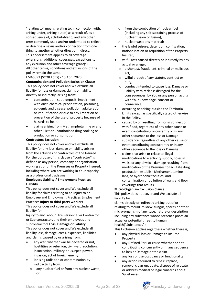"relating to" means relating to, in connection with, arising under, arising out of, as a result of, as a consequence of, attributable to, and any other term commonly used and/or understood to reflect or describe a nexus and/or connection from one thing to another whether direct or indirect. This endorsement applies to all coverage extensions, additional coverages, exceptions to any exclusion and other coverage grant(s). All other terms, conditions and exclusions of the policy remain the same.

LMA5393 (SCOR Edits) - 15 April 2020 **Contamination and Pollution Exclusion Clause** This policy does not cover and We exclude all liability for loss or damage, claims or liability, directly or indirectly, arising from:

- contamination, soot, deposit, impairment with dust, chemical precipitation, poisoning, epidemic and disease, pollution, adulteration or impurification or due to any limitation or prevention of the use of property because of hazards to health.
- claims arising from Methamphetamine or any other illicit or unauthorised drug cooking or production or consumption

#### **Contractors Exclusion**

This policy does not cover and We exclude all liability for any loss, damage or liability arising from the activities of contractors of the Insured. For the purpose of this clause a "contractor" is defined as any person, company or organisation working at or on the Premises or Property Insured, including where You are working in Your capacity as a professional tradesman.

#### **Employers Liability / Employment Practices Liability**

This policy does not cover and We exclude all liability for claims relating to an Injury to an Employee and Employment Practices Employment Practices **Injury to third party workers**

This policy does not cover and We exclude all liability for

Injury to any Labour Hire Personnel or Contractor or Sub contractor, and their employees and subcontractors **Loss, Damage or liability** This policy does not cover and We exclude all liability loss, damage, costs, expenses, liabilities and claims caused by or arising from:

- any war, whether war be declared or not, hostilities or rebellion, civil war, revolution, insurrection, military or usurped power, invasion, act of foreign enemy;
- ionising radiation or contamination by radioactivity from:
	- o any nuclear fuel or from any nuclear waste; or
- from the combustion of nuclear fuel (including any self-sustaining process of nuclear fission or fusion);
- o nuclear weapons material;
- the lawful seizure, detention, confiscation, nationalisation or requisition of the Property Insured;
- wilful acts caused directly or indirectly by any actual or alleged:
	- o dishonest, fraudulent, criminal or malicious act;
	- o wilful breach of any statute, contract or duty;
	- o conduct intended to cause loss, Damage or liability with reckless disregard for the consequences, by You or any person acting with Your knowledge, consent or connivance;
- occurring or arising outside the Territorial Limits except as specifically stated otherwise in the Policy.
- caused by or resulting from or in connection with flood, regardless of any other cause or event contributing concurrently or in any other sequence to the loss or Damage
- subsidence, regardless of any other cause or event contributing concurrently or in any other sequence to the loss or Damage
- claims that arise or relate to illegal modifications to electricity supply, holes in walls, or any physical damage resulting from modification of the Premises to facilitate drug production, establish Methamphetamine labs, or hydroponic facilities, and contamination or pollution of walls and floor coverings that results.

#### **Micro-Organism Exclusion Clause**

This policy does not cover and We exclude all liability for:

claims directly or indirectly arising out of or relating to mould, mildew, fungus, spores or other micro-organism of any type, nature or description including any substance whose presence poses an actual or potential threat to human health("Substances").

This Exclusion applies regardless whether there is;

- any physical loss or Damage to Insured Property
- any Defined Peril or cause whether or not contributing concurrently or in any sequence to loss or Damage or the claim
- any loss of use occupancy or functionality
- any action required to repair, replace, remove, clean-up, abate, dispose of relocate or address medical or legal concerns about Substances.

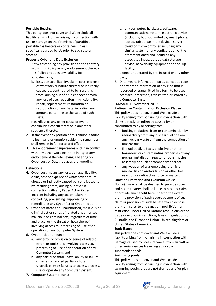#### **Portable Heating**

This policy does not cover and We exclude all liability arising from or arising in connection with use or storage on the Premises of paraffin or portable gas heaters or containers unless specifically agreed by Us prior to such use or storage.

#### **Property Cyber and Data Exclusion**

- 1. Notwithstanding any provision to the contrary within this Policy or any endorsement thereto this Policy excludes any liability for:
	- a. Cyber Loss;
	- b. loss, damage, liability, claim, cost, expense of whatsoever nature directly or indirectly caused by, contributed to by, resulting from, arising out of or in connection with any loss of use, reduction in functionality, repair, replacement, restoration or reproduction of any Data, including any amount pertaining to the value of such Data;

regardless of any other cause or event contributing concurrently or in any other sequence thereto.

- 2. In the event any portion of this clause is found to be invalid or unenforceable, the remainder shall remain in full force and effect.
- 3. This endorsement supersedes and, if in conflict with any other wording in the Policy or any endorsement thereto having a bearing on Cyber Loss or Data, replaces that wording.

#### Definitions

- 4. Cyber Loss means any loss, damage, liability, claim, cost or expense of whatsoever nature directly or indirectly caused by, contributed to by, resulting from, arising out of or in connection with any Cyber Act or Cyber Incident including any action taken in controlling, preventing, suppressing or remediating any Cyber Act or Cyber Incident.
- 5. Cyber Act means an unauthorised, malicious or criminal act or series of related unauthorised, malicious or criminal acts, regardless of time and place, or the threat or hoax thereof involving access to, processing of, use of or operation of any Computer System.
- 6. Cyber Incident means:
	- a. any error or omission or series of related errors or omissions involving access to, processing of, use of or operation of any Computer System; and
	- b. any partial or total unavailability or failure or series of related partial or total unavailability or failures to access, process, use or operate any Computer System.
- 7. Computer System means:

a. any computer, hardware, software, communications system, electronic device (including, but not limited to, smart phone, laptop, tablet, wearable device), server, cloud or microcontroller including any similar system or any configuration of the aforementioned and including any associated input, output, data storage device, networking equipment or back up facility,

owned or operated by the Insured or any other party.

8. Data means information, facts, concepts, code or any other information of any kind that is recorded or transmitted in a form to be used, accessed, processed, transmitted or stored by a Computer System.

#### LMA5401 11 November 2019

#### **Radioactive Contamination Exclusion Clause** This policy does not cover and We exclude all liability arising from, or arising in connection with claims directly or indirectly caused by or contributed to by or arising from;

- ionising radiations from or contamination by radioactivity from any nuclear fuel or from any nuclear waste or from the combustion of nuclear fuel
- the radioactive, toxic, explosive or other hazardous or contaminating properties of any nuclear installation, reactor or other nuclear assembly or nuclear component thereof
- any weapon of war employing atomic or nuclear fission and/or fusion or other like reaction or radioactive force or matter.

#### **Sanction Limitation and Exclusion Clause** No (re)insurer shall be deemed to provide cover

and no (re)insurer shall be liable to pay any claim or provide any benefit hereunder to the extent that the provision of such cover, payment of such claim or provision of such benefit would expose that (re)insurer to any sanction, prohibition or restriction under United Nations resolutions or the trade or economic sanctions, laws or regulations of Australia, the European Union, United Kingdom or United States of America.

#### **Sonic Bangs**

This policy does not cover and We exclude all liability arising from, or arising in connection with Damage caused by pressure waves from aircraft or other aerial devices travelling at sonic or supersonic speeds .

#### **Swimming pools**

This policy does not cover and We exclude all liability arising from, or arising in connection with swimming pool/s that are not drained and/or play equipment

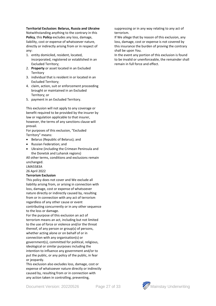#### **Territorial Exclusion: Belarus, Russia and Ukraine**

Notwithstanding anything to the contrary in this **Policy**, this **Policy** excludes any loss, damage, liability, cost or expense of whatsoever nature, directly or indirectly arising from or in respect of any:

- 1. entity domiciled, resident, located, incorporated, registered or established in an Excluded Territory;
- 2. **Property** or asset located in an Excluded **Territory**
- 3. individual that is resident in or located in an Excluded Territory;
- 4. claim, action, suit or enforcement proceeding brought or maintained in an Excluded Territory; or
- 5. payment in an Excluded Territory.

This exclusion will not apply to any coverage or benefit required to be provided by the insurer by law or regulation applicable to that insurer, however, the terms of any sanctions clause will prevail.

For purposes of this exclusion, "Excluded Territory" means:

- Belarus (Republic of Belarus); and
- Russian Federation; and
- Ukraine (including the Crimean Peninsula and the Donetsk and Luhansk regions)

All other terms, conditions and exclusions remain unchanged.

LMA5583A

26 April 2022

#### **Terrorism Exclusion**

This policy does not cover and We exclude all liability arising from, or arising in connection with loss, damage, cost or expense of whatsoever nature directly or indirectly caused by, resulting from or in connection with any act of terrorism regardless of any other cause or event contributing concurrently or in any other sequence to the loss or damage.

For the purpose of this exclusion an act of terrorism means an act, including but not limited to the use of force or violence and/or the threat thereof, of any person or group(s) of persons, whether acting alone or on behalf of or in connection with any organisation(s) or government(s), committed for political, religious, ideological or similar purposes including the intention to influence any government and/or to put the public, or any policy of the public, in fear or jeopardy.

This exclusion also excludes loss, damage, cost or expense of whatsoever nature directly or indirectly caused by, resulting from or in connection with any action taken in controlling, preventing,

suppressing or in any way relating to any act of terrorism.

If We allege that by reason of this exclusion, any loss, damage, cost or expense is not covered by this insurance the burden of proving the contrary shall be upon You.

In the event any portion of this exclusion is found to be invalid or unenforceable, the remainder shall remain in full force and effect.

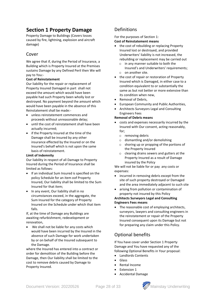## **Section 1 Property Damage**

Property Damage to Buildings (Covers losses caused by fire, lightning, explosion and aircraft damage)

## Cover

We agree that if, during the Period of Insurance, a Building which is Property Insured at the Premises sustains Damage by any Defined Peril then We will pay to You:-

#### **Cost of Reinstatement**

Our liability for the repair or replacement of Property Insured Damaged in part shall not exceed the amount which would have been payable had such Property been wholly lost or destroyed. No payment beyond the amount which would have been payable in the absence of this Reinstatement shall be made:-

- unless reinstatement commences and proceeds without unreasonable delay;
- until the cost of reinstatement shall have been actually incurred;
- if the Property Insured at the time of the Damage shall be insured by any other insurance effected by the Insured or on the Insured's behalf which is not upon the same basis of reinstatement.

#### **Limit of Indemnity**

Our liability in respect of all Damage to Property Insured during the Period of Insurance shall be limited as follows:

- If an individual Sum Insured is specified on the policy Schedule for an item oof Property Insured, Our liability shall be limited to the Sum Insured for that item;
- In any event, Our liability shall in no circumstances exceed, in the aggregate, the Sum Insured for the category of Property Insured on the Schedule under which that item falls.

If, at the time of Damage any Buildings are awaiting refurbishment, redevelopment or renovation,

We shall not be liable for any costs which would have been incurred by the Insured in the absence of such Damage for work undertaken by or on behalf of the Insured subsequent to the Damage.

where the Insured has entered into a contract or order for demolition of the Building before the Damage, then Our liability shall be limited to the cost to remove debris caused by Damage to Property Insured.

## Definitions

For the purposes of Section 1: **Cost of Reinstatement means**

- the cost of rebuilding or replacing Property Insured lost or destroyed, and provided Underwriters' liability is not increased, the rebuilding or replacement may be carried out
	- o in any manner suitable to both the Insured's and Underwriters' requirements; o on another site.
	-
- the cost of repair or restoration of Property Insured which is Damaged, in either case to a condition equivalent to or substantially the same as but not better or more extensive than its condition when new,
- Removal of Debris,
- European Community and Public Authorities,
- Architects Surveyors Legal and Consulting Engineers Fees

#### **Removal of Debris means**

- costs and expenses necessarily incurred by the Insured with Our consent, acting reasonably, for;
	- o removing debris
	- o dismantling and/or demolishing
	- o shoring up or propping of the portions of the Property Insured
	- o clearing drains sewers and gutters at the Property Insured as a result of Damage insured by the Policy

We will not be liable for or pay any costs or expenses:

- incurred in removing debris except from the site of such property destroyed or Damaged and the area immediately adjacent to such site
- arising from pollution or contamination of property not insured by this Policy

#### **Architects Surveyors Legal and Consulting Engineers Fees means**

The reasonable cost of employing architects, surveyors, lawyers and consulting engineers in the reinstatement or repair of the Property Insured consequent upon its Damage but not for preparing any claim under this Policy.

## Optional benefits

If You have cover under Section 1 Property Damage and You have requested any of the following Optional Benefits in Your proposal:

- Landlords Contents
- Glass
- Rental Income
- Extension 1
- Accidental Damage

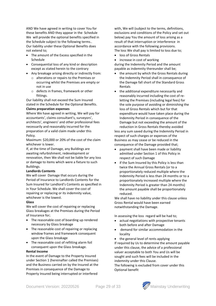AND We have agreed in writing to cover You for these benefits AND they appear in the Schedule We will provide the optional benefits specified in the Schedule subject to the following terms.. Our liability under these Optional Benefits does not extend to;

- The amount of the Excess specified in the Schedule
- Consequential loss of any kind or description except as stated herein to the contrary
- Any breakage arising directly or indirectly from:
	- o alterations or repairs to the Premises or occurring whilst the Premises are empty or not in use
	- o defects in frames, framework or other fittings.

Our liability shall not exceed the Sum Insured stated in the Schedule for the Optional Benefits. **Claims preparation expenses**

Where We have agreed in writing, We will pay for accountants', claims consultant's, surveyors', architects', engineers' and other professional fees necessarily and reasonably incurred for the preparation of a valid claim made under this Policy.

Maximum: \$20,000 or 20% of the cost of the claim whichever is lower.

If, at the time of Damage, any Buildings are awaiting refurbishment, redevelopment or renovation, then We shall not be liable for any loss or damage to items which were a fixture to such Buildings.

#### **Landlords Contents**

We will cover Damage that occurs during the Period of Insurance to Landlords Contents for the Sum Insured for Landlord's Contents as specified in in Your Schedule. We shall cover the cost of repairing or replacing or its indemnity value, whichever is the lowest.

#### **Glass**

We will cover the cost of repairing or replacing Glass breakages at the Premises during the Period of Insurance for;

- The reasonable cost of boarding up rendered necessary by Glass breakage
- The reasonable cost of repairing or replacing window frames and framework consequent upon the Glass breakage
- The reasonable cost of refitting alarm foil consequent upon the Glass breakage.

#### **Rental Income**

In the event of Damage to the Property Insured under Section 1 (hereinafter called the Premises) and the Business carried on by the Insured at the Premises in consequence of the Damage to Property Insured being interrupted or interfered

with, We will (subject to the terms, definitions, exclusions and conditions of the Policy and set out below) pay You the amount of loss arising as a result of that interruption or interference in accordance with the following provisions. The loss We shall pay is limited to loss due to;

• loss of Gross Rentals

increase in cost of working during the Indemnity Period and the amount payable as indemnity thereunder shall be;

- the amount by which the Gross Rentals during the Indemnity Period shall in consequence of the Damage fall short of the Standard Gross Rentals
- the additional expenditure necessarily and reasonably incurred including the cost of reletting the Premises (including legal fees) for the sole purpose of avoiding or diminishing the loss of Gross Rentals which but for that expenditure would have taken place during the Indemnity Period in consequence of the Damage but not exceeding the amount of the reduction in Gross Rentals thereby avoided

less any sum saved during the Indemnity Period in respect of such charges or expenses of the Business as may cease or be reduced in the consequence of the Damage provided that;

- payment shall have been made or liability admitted under Section 1 of this Policy in respect of such Damage
- if the Sum Insured by this Policy is less than twice the Annual Gross Rentals (or to a proportionately reduced multiple where the Indemnity Period is less than 24 months or to a proportionately increased multiple where the Indemnity Period is greater than 24 months) the amount payable shall be proportionately reduced.

We shall have no liability under this clause unless Gross Rental would have been earned notwithstanding the Damage.

In assessing the loss regard will be had to;

- actual negotiations with prospective tenants both before and after Damage
- demand for similar accommodation in the locality
- the general level of rents applying If required by Us to determine the amount payable under this clause, the advice of a professional valuer acceptable to both You and Us will be sought and such fees will be included in the indemnity under this Clause. The following is excluded from cover under this

Optional benefit

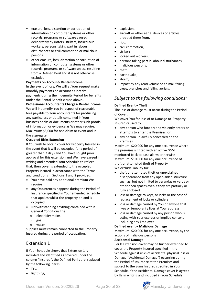- erasure, loss, distortion or corruption of information on computer systems or other records, programs or software caused deliberately by rioters, strikers, locked-out workers, persons taking part in labour disturbances or civil commotion or malicious persons
- other erasure, loss, distortion or corruption of information on computer systems or other records, programs or software unless resulting from a Defined Peril and it is not otherwise excluded

#### **Payments on Account- Rental Income**

In the event of loss, We will at Your request make monthly payments on account as interim payments during the Indemnity Period for benefits under the Rental Benefit clause above..

**Professional Accountants Charges- Rental Income** We will indemnify You in respect of reasonable fees payable to Your accountants for producing any particulars or details contained in Your business books or documents or other such proofs of information or evidence as We may require. Maximum: \$5,000 for one claim or event and in the aggregate.

#### **Occupied Risks Extension**

If You wish to obtain cover for Property Insured in the event that it will be occupied for a period of greater than 7 days and You have sought prior approval for this extension and We have agreed in writing and amended Your Schedule to reflect that, then cover is extended to the occupied Property Insured in accordance with the Terms and conditions in Sections 1 and 2 provided:

- You have paid any additional premium We require
- any Occurrences happens during the Period of Insurance specified in Your amended Schedule that applies whilst the property or land is occupied,
- Notwithstanding anything contained within General Conditions the
	- o electricity mains
	- o gas
	- o water

supplies must remain connected to the Property Insured during the period of occupation.

### Extension 1

If Your Schedule shows that Extension 1 is included and identified as covered under the column "insured", the Defined Perils are replaced by the following perils

- fire,
- lightning,
- explosion,
- aircraft or other aerial devices or articles dropped there from,
- riot,
- civil commotion,
- strikers,
- locked out workers,
- persons taking part in labour disturbances,
- malicious persons,
- theft,
- earthquake,
- storm,
- impact by any road vehicle or animal, falling trees, branches and falling aerials.

### *Subject to the following conditions:*

#### **Defined Event – Theft**

The loss or damage must occur during the Period of Cover.

We cover You for loss of or Damage to Property Insured caused by:

- any person who forcibly and violently enters or attempts to enter the Premises, or
- any person unlawfully concealed on the Premises

Maximum: \$20,000 for any one occurrence where the premises is fitted with an active GSM monitored back to base alarm, otherwise Maximum: \$10,000 for any one occurrence of theft or attempted theft of Property We exclude liability for:

- theft or attempted theft or unexplained disappearance from any open-sided structure such as, but not limited to verandas or yards or other open spaces even if they are partially or fully enclosed.
- loss or damage to keys, or locks or the cost of replacement of locks or cylinders
- loss or damage caused by You or anyone that lives or temporarily lives at Your address
- loss or damage caused by any person who is acting with Your express or implied consent including any Employee

#### **Defined event – Malicious Damage**

Maximum: \$20,000 for any one occurrence, by the actions of malicious persons

#### **Accidental Damage**

Perils Extension cover may be further extended to cover the Property Insured specified in the Schedule against risks of accidental physical loss or Damage("Accidental Damage") occurring during the Period of Insurance at the Premises and subject to the Sums Insured specified in Your Schedule, if the Accidental Damage cover is agreed by Us in writing and included in Your Schedule.

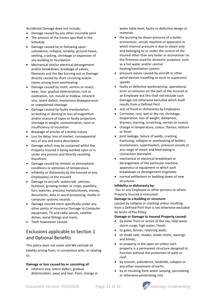Accidental Damage does not include;

- Damage caused by any other insurable peril
- The amount of the Excess specified in the Schedule
- Damage caused by or following upon subsidence, collapse, landslip, ground heave, settling, cracking, shrinkage or expansion of any building or foundation
- Mechanical and/or electrical derangement and/or breakdown, breakage of valves, filaments and the like burning out or Damage directly caused by short circuiting and/or claims arising from overheating
- Damage caused by moth, vermin or insect, wear, tear, gradual deterioration, rust or oxidization, rot, mould or mildew, inherent vice, latent defect, mysterious disappearance or unexplained shortage
- Damage caused by faulty manipulation, scratching or denting or loss of magnetism and/or erasure of tapes or faulty projection, shortage in weight, contamination, taint or insufficiency of insulation
- Breakage of articles of a brittle nature
- Loss by delay, loss of market, consequential loss of any and every description
- Damage which may be sustained whilst the Property Insured is being worked upon or is under any process and directly resulting therefrom
- Damage caused by climatic or atmospheric conditions or extremes of temperature
- Infidelity or dishonesty by the Insured or any Employee(s) of the Insured
- Damage to aircraft, watercraft, vehicles, livestock, growing timber or crops, jewellery, furs, watches, precious metals/stones, money, documents, data or word-processing, media or computer systems records
- Damage insured more specifically under any other policy of insurance Damage to Computer equipment, TV and radio aerials, satellite dishes, aerial fittings and masts.
- Theft howsoever caused.

## Exclusions applicable to Section 1 and Optional Benefits

This policy does not cover and We exclude all liability arising from, in connection with, or relating to:

#### **Damage or loss caused by or consisting of:**

inherent vice, latent defect, gradual deterioration, wear and tear, frost, change in water table level, faulty or defective design or materials

- the bursting by steam pressure of a boiler, economiser, vessel, machine or apparatus in which internal pressure is due to steam only and belonging to or under the control of the Insured other than any boiler or economiser on the Premises used for domestic purposes, such as a hot water and/or central heating/ventilation system.
- pressure waves caused by aircraft or other aerial devices travelling at sonic or supersonic speeds
- faulty or defective workmanship, operational error or omission on the part of the Insured or an Employee but this shall not exclude such Damage not otherwise excluded which itself results from a Defined Peril
- acts of fraud or dishonesty by Employees
- Corrosion, rust, wet or dry rot, shrinkage, evaporation, loss of weight, dampness, dryness, marring, scratching, vermin or insects
- change in temperature, colour, flavour, texture or finish
- joint leakage, failure of welds, cracking, fracturing, collapse or overheating of boilers, economisers, superheaters, pressure vessels or any range of steam and feed piping in connection therewith
- mechanical or electrical breakdown or derangement of the particular machine, apparatus or equipment in which such breakdown or derangement originates
- normal settlement or bedding down of new structures

#### **Infidelity or dishonesty by:**

You or any Employee or other persons to whom Property Insured is entrusted.

#### **Damage to a building or structure:**

caused by collapse or cracking unless resulting from a Defined Peril that is not otherwise excluded by terms of the Policy

#### **Damage or Damage to Insured Property caused:**

- by water from or action of the sea, tidal wave, storm surge, high water, Flood;
- to gates, fences, retaining walls;
- to shade sails, shades, shade cloths, awnings and blinds;
- to property in the open air unless such property is a permanent structure designed to function without the protection of walls or roof;
- by erosion, subsidence, landslide, collapse or any other movement of earth;
- by or resulting from water seeping, percolating or otherwise penetrating into

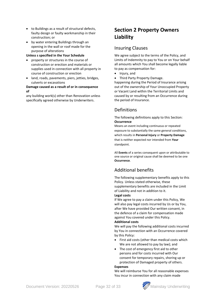- to Buildings as a result of structural defects, faulty design or faulty workmanship in their construction; or
- by water entering Buildings through an opening in the wall or roof made for the purpose of alterations

**Unless s specified in the Your Schedule** 

- property or structures in the course of construction or erection and materials or supplies used in connection with all property in course of construction or erection
- land, roads, pavements, piers, jetties, bridges, culverts or excavations

#### **Damage caused as a result of or in consequence of**

any building work(s) other than Renovation unless specifically agreed otherwise by Underwriters.

## **Section 2 Property Owners Liability**

## Insuring Clauses

We agree subject to the terms of the Policy, and Limits of Indemnity to pay to You or on Your behalf all amounts which You shall become legally liable to pay as compensation for:

- Injury, and
- Third Party Property Damage.

happening during the Period of Insurance arising out of the ownership of Your Unoccupied Property or Vacant Land within the Territorial Limits and caused by or resulting from an Occurrence during the period of Insurance.

## Definitions

#### The following definitions apply to this Section: **Occurrence**

Means an event including continuous or repeated exposure to substantially the same general conditions, which results in **Personal Injury** or **Property Damage** that is neither expected nor intended from **Your**  standpoint.

All **Events** of a series consequent upon or attributable to one source or original cause shall be deemed to be one **Occurrence**.

## Additional benefits

The following supplementary benefits apply to this Policy. Unless stated otherwise, these supplementary benefits are included in the Limit of Liability and not in addition to it.

#### **Legal costs**

If We agree to pay a claim under this Policy, We will also pay legal costs incurred by Us or by You, after We have provided Our written consent, in the defence of a claim for compensation made against You covered under this Policy.

#### **Additional costs**

We will pay the following additional costs incurred by You in connection with an Occurrence covered by this Policy:

- First aid costs (other than medical costs which We are not allowed to pay by law); and
- The cost of emergency first aid to other persons and for costs incurred with Our consent for temporary repairs, shoring up or protection of Damaged property of others.

#### **Expenses**

We will reimburse You for all reasonable expenses You incur in connection with any claim made